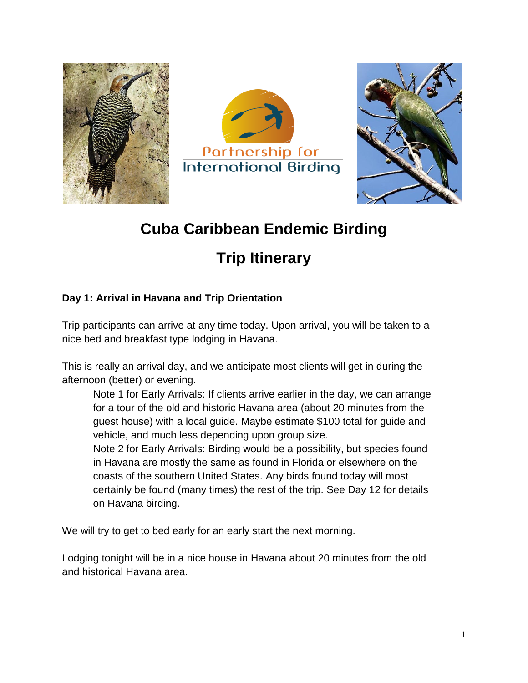





## **Cuba Caribbean Endemic Birding**

# **Trip Itinerary**

#### **Day 1: Arrival in Havana and Trip Orientation**

Trip participants can arrive at any time today. Upon arrival, you will be taken to a nice bed and breakfast type lodging in Havana.

This is really an arrival day, and we anticipate most clients will get in during the afternoon (better) or evening.

Note 1 for Early Arrivals: If clients arrive earlier in the day, we can arrange for a tour of the old and historic Havana area (about 20 minutes from the guest house) with a local guide. Maybe estimate \$100 total for guide and vehicle, and much less depending upon group size.

Note 2 for Early Arrivals: Birding would be a possibility, but species found in Havana are mostly the same as found in Florida or elsewhere on the coasts of the southern United States. Any birds found today will most certainly be found (many times) the rest of the trip. See Day 12 for details on Havana birding.

We will try to get to bed early for an early start the next morning.

Lodging tonight will be in a nice house in Havana about 20 minutes from the old and historical Havana area.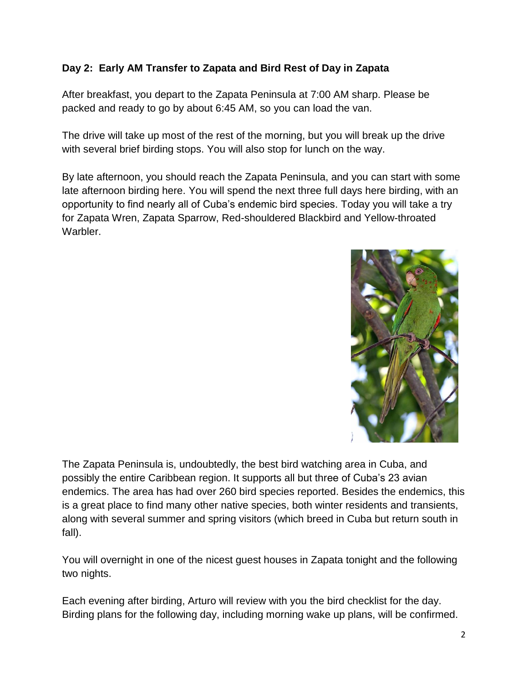#### **Day 2: Early AM Transfer to Zapata and Bird Rest of Day in Zapata**

After breakfast, you depart to the Zapata Peninsula at 7:00 AM sharp. Please be packed and ready to go by about 6:45 AM, so you can load the van.

The drive will take up most of the rest of the morning, but you will break up the drive with several brief birding stops. You will also stop for lunch on the way.

By late afternoon, you should reach the Zapata Peninsula, and you can start with some late afternoon birding here. You will spend the next three full days here birding, with an opportunity to find nearly all of Cuba's endemic bird species. Today you will take a try for Zapata Wren, Zapata Sparrow, Red-shouldered Blackbird and Yellow-throated Warbler.



The Zapata Peninsula is, undoubtedly, the best bird watching area in Cuba, and possibly the entire Caribbean region. It supports all but three of Cuba's 23 avian endemics. The area has had over 260 bird species reported. Besides the endemics, this is a great place to find many other native species, both winter residents and transients, along with several summer and spring visitors (which breed in Cuba but return south in fall).

You will overnight in one of the nicest guest houses in Zapata tonight and the following two nights.

Each evening after birding, Arturo will review with you the bird checklist for the day. Birding plans for the following day, including morning wake up plans, will be confirmed.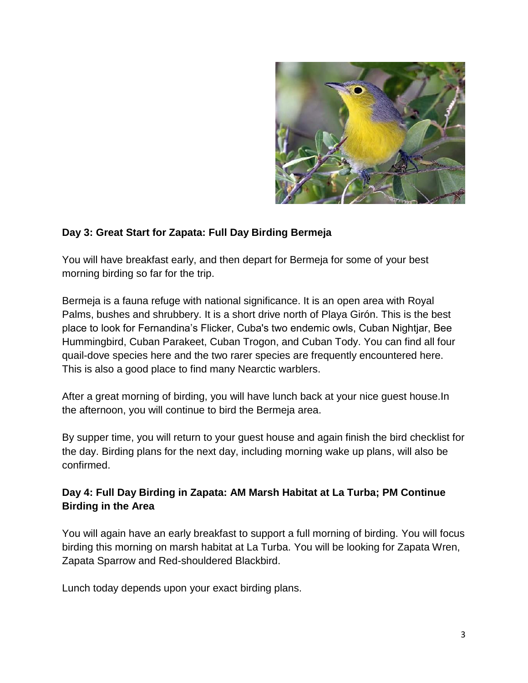

#### **Day 3: Great Start for Zapata: Full Day Birding Bermeja**

You will have breakfast early, and then depart for Bermeja for some of your best morning birding so far for the trip.

Bermeja is a fauna refuge with national significance. It is an open area with Royal Palms, bushes and shrubbery. It is a short drive north of Playa Girón. This is the best place to look for Fernandina's Flicker, Cuba's two endemic owls, Cuban Nightjar, Bee Hummingbird, Cuban Parakeet, Cuban Trogon, and Cuban Tody. You can find all four quail-dove species here and the two rarer species are frequently encountered here. This is also a good place to find many Nearctic warblers.

After a great morning of birding, you will have lunch back at your nice guest house.In the afternoon, you will continue to bird the Bermeja area.

By supper time, you will return to your guest house and again finish the bird checklist for the day. Birding plans for the next day, including morning wake up plans, will also be confirmed.

#### **Day 4: Full Day Birding in Zapata: AM Marsh Habitat at La Turba; PM Continue Birding in the Area**

You will again have an early breakfast to support a full morning of birding. You will focus birding this morning on marsh habitat at La Turba. You will be looking for Zapata Wren, Zapata Sparrow and Red-shouldered Blackbird.

Lunch today depends upon your exact birding plans.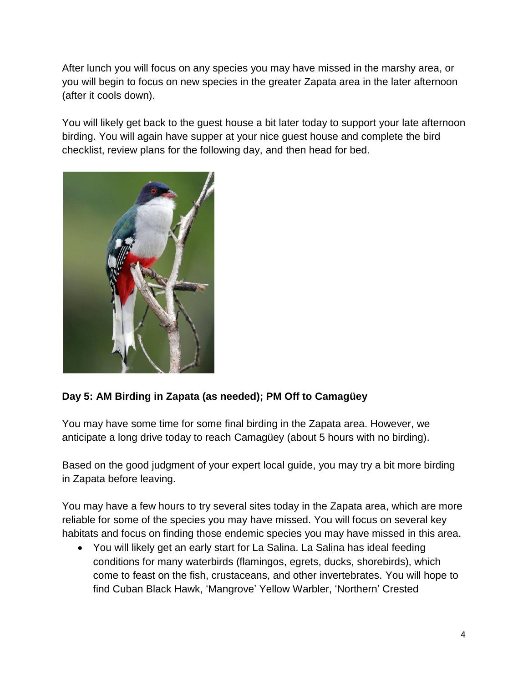After lunch you will focus on any species you may have missed in the marshy area, or you will begin to focus on new species in the greater Zapata area in the later afternoon (after it cools down).

You will likely get back to the guest house a bit later today to support your late afternoon birding. You will again have supper at your nice guest house and complete the bird checklist, review plans for the following day, and then head for bed.



#### **Day 5: AM Birding in Zapata (as needed); PM Off to Camagüey**

You may have some time for some final birding in the Zapata area. However, we anticipate a long drive today to reach Camagüey (about 5 hours with no birding).

Based on the good judgment of your expert local guide, you may try a bit more birding in Zapata before leaving.

You may have a few hours to try several sites today in the Zapata area, which are more reliable for some of the species you may have missed. You will focus on several key habitats and focus on finding those endemic species you may have missed in this area.

 You will likely get an early start for La Salina. La Salina has ideal feeding conditions for many waterbirds (flamingos, egrets, ducks, shorebirds), which come to feast on the fish, crustaceans, and other invertebrates. You will hope to find Cuban Black Hawk, 'Mangrove' Yellow Warbler, 'Northern' Crested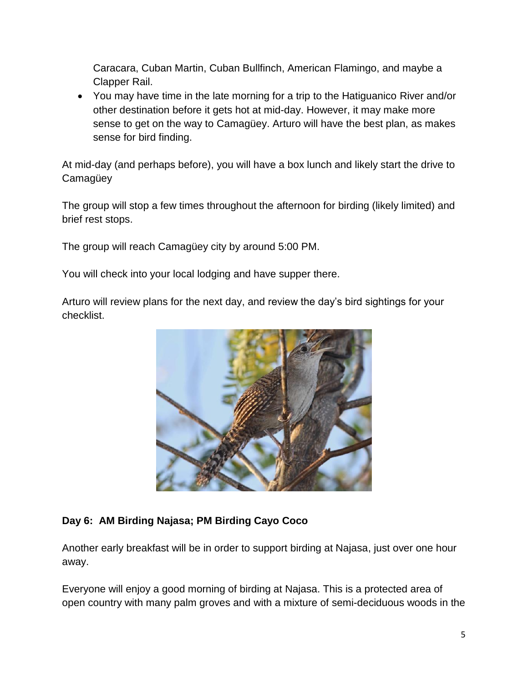Caracara, Cuban Martin, Cuban Bullfinch, American Flamingo, and maybe a Clapper Rail.

 You may have time in the late morning for a trip to the Hatiguanico River and/or other destination before it gets hot at mid-day. However, it may make more sense to get on the way to Camagüey. Arturo will have the best plan, as makes sense for bird finding.

At mid-day (and perhaps before), you will have a box lunch and likely start the drive to **Camagüey** 

The group will stop a few times throughout the afternoon for birding (likely limited) and brief rest stops.

The group will reach Camagüey city by around 5:00 PM.

You will check into your local lodging and have supper there.

Arturo will review plans for the next day, and review the day's bird sightings for your checklist.



#### **Day 6: AM Birding Najasa; PM Birding Cayo Coco**

Another early breakfast will be in order to support birding at Najasa, just over one hour away.

Everyone will enjoy a good morning of birding at Najasa. This is a protected area of open country with many palm groves and with a mixture of semi-deciduous woods in the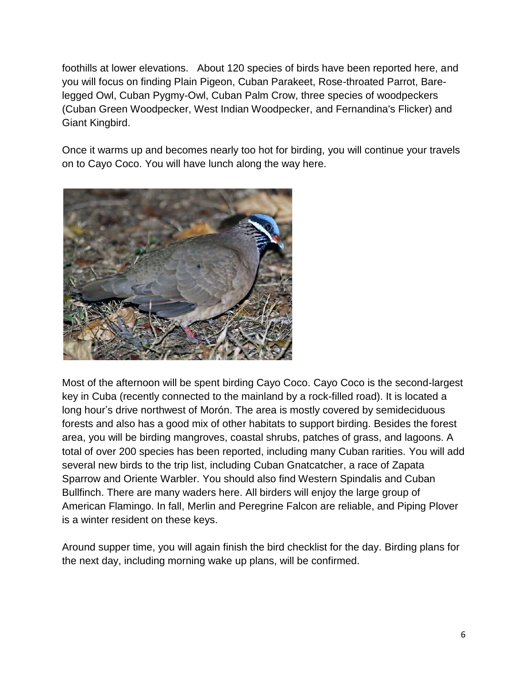foothills at lower elevations. About 120 species of birds have been reported here, and you will focus on finding Plain Pigeon, Cuban Parakeet, Rose-throated Parrot, Barelegged Owl, Cuban Pygmy-Owl, Cuban Palm Crow, three species of woodpeckers (Cuban Green Woodpecker, West Indian Woodpecker, and Fernandina's Flicker) and Giant Kingbird.

Once it warms up and becomes nearly too hot for birding, you will continue your travels on to Cayo Coco. You will have lunch along the way here.



Most of the afternoon will be spent birding Cayo Coco. Cayo Coco is the second-largest key in Cuba (recently connected to the mainland by a rock-filled road). It is located a long hour's drive northwest of Morón. The area is mostly covered by semideciduous forests and also has a good mix of other habitats to support birding. Besides the forest area, you will be birding mangroves, coastal shrubs, patches of grass, and lagoons. A total of over 200 species has been reported, including many Cuban rarities. You will add several new birds to the trip list, including Cuban Gnatcatcher, a race of Zapata Sparrow and Oriente Warbler. You should also find Western Spindalis and Cuban Bullfinch. There are many waders here. All birders will enjoy the large group of American Flamingo. In fall, Merlin and Peregrine Falcon are reliable, and Piping Plover is a winter resident on these keys.

Around supper time, you will again finish the bird checklist for the day. Birding plans for the next day, including morning wake up plans, will be confirmed.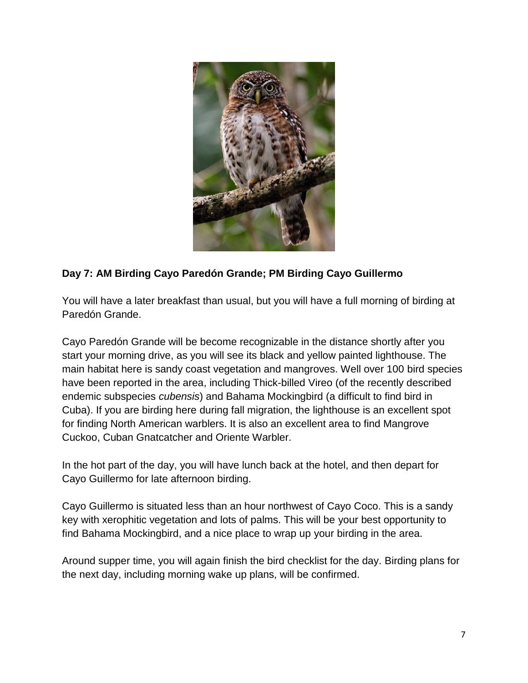

#### **Day 7: AM Birding Cayo Paredón Grande; PM Birding Cayo Guillermo**

You will have a later breakfast than usual, but you will have a full morning of birding at Paredón Grande.

Cayo Paredón Grande will be become recognizable in the distance shortly after you start your morning drive, as you will see its black and yellow painted lighthouse. The main habitat here is sandy coast vegetation and mangroves. Well over 100 bird species have been reported in the area, including Thick-billed Vireo (of the recently described endemic subspecies *cubensis*) and Bahama Mockingbird (a difficult to find bird in Cuba). If you are birding here during fall migration, the lighthouse is an excellent spot for finding North American warblers. It is also an excellent area to find Mangrove Cuckoo, Cuban Gnatcatcher and Oriente Warbler.

In the hot part of the day, you will have lunch back at the hotel, and then depart for Cayo Guillermo for late afternoon birding.

Cayo Guillermo is situated less than an hour northwest of Cayo Coco. This is a sandy key with xerophitic vegetation and lots of palms. This will be your best opportunity to find Bahama Mockingbird, and a nice place to wrap up your birding in the area.

Around supper time, you will again finish the bird checklist for the day. Birding plans for the next day, including morning wake up plans, will be confirmed.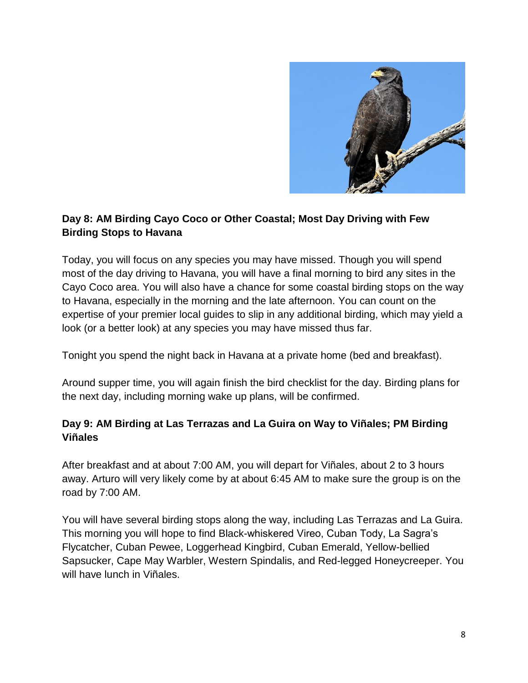

#### **Day 8: AM Birding Cayo Coco or Other Coastal; Most Day Driving with Few Birding Stops to Havana**

Today, you will focus on any species you may have missed. Though you will spend most of the day driving to Havana, you will have a final morning to bird any sites in the Cayo Coco area. You will also have a chance for some coastal birding stops on the way to Havana, especially in the morning and the late afternoon. You can count on the expertise of your premier local guides to slip in any additional birding, which may yield a look (or a better look) at any species you may have missed thus far.

Tonight you spend the night back in Havana at a private home (bed and breakfast).

Around supper time, you will again finish the bird checklist for the day. Birding plans for the next day, including morning wake up plans, will be confirmed.

#### **Day 9: AM Birding at Las Terrazas and La Guira on Way to Viñales; PM Birding Viñales**

After breakfast and at about 7:00 AM, you will depart for Viñales, about 2 to 3 hours away. Arturo will very likely come by at about 6:45 AM to make sure the group is on the road by 7:00 AM.

You will have several birding stops along the way, including Las Terrazas and La Guira. This morning you will hope to find Black-whiskered Vireo, Cuban Tody, La Sagra's Flycatcher, Cuban Pewee, Loggerhead Kingbird, Cuban Emerald, Yellow-bellied Sapsucker, Cape May Warbler, Western Spindalis, and Red-legged Honeycreeper. You will have lunch in Viñales.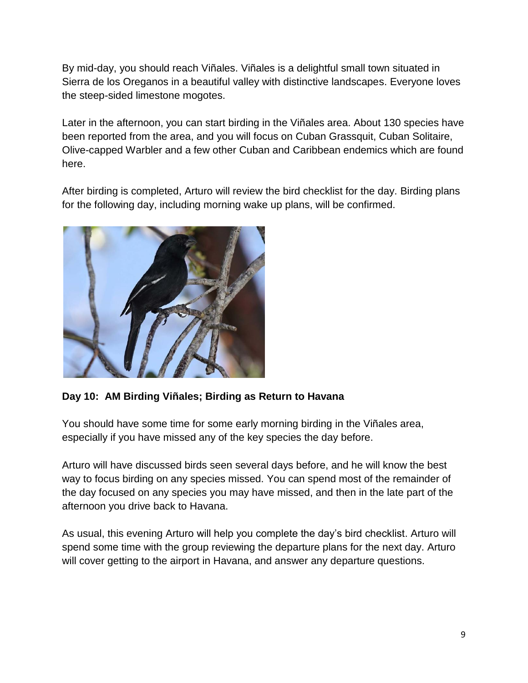By mid-day, you should reach Viñales. Viñales is a delightful small town situated in Sierra de los Oreganos in a beautiful valley with distinctive landscapes. Everyone loves the steep-sided limestone mogotes.

Later in the afternoon, you can start birding in the Viñales area. About 130 species have been reported from the area, and you will focus on Cuban Grassquit, Cuban Solitaire, Olive-capped Warbler and a few other Cuban and Caribbean endemics which are found here.

After birding is completed, Arturo will review the bird checklist for the day. Birding plans for the following day, including morning wake up plans, will be confirmed.



**Day 10: AM Birding Viñales; Birding as Return to Havana**

You should have some time for some early morning birding in the Viñales area, especially if you have missed any of the key species the day before.

Arturo will have discussed birds seen several days before, and he will know the best way to focus birding on any species missed. You can spend most of the remainder of the day focused on any species you may have missed, and then in the late part of the afternoon you drive back to Havana.

As usual, this evening Arturo will help you complete the day's bird checklist. Arturo will spend some time with the group reviewing the departure plans for the next day. Arturo will cover getting to the airport in Havana, and answer any departure questions.